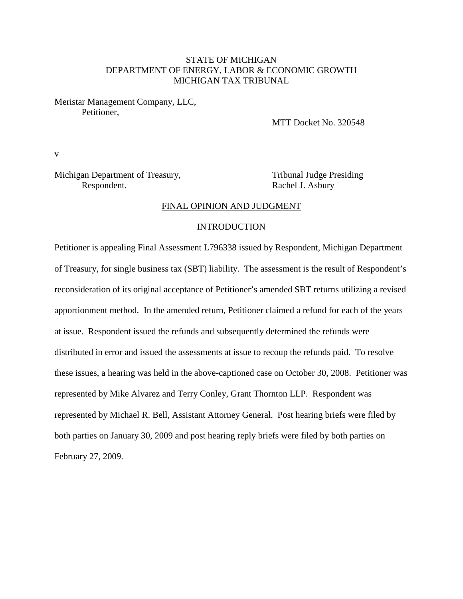### STATE OF MICHIGAN DEPARTMENT OF ENERGY, LABOR & ECONOMIC GROWTH MICHIGAN TAX TRIBUNAL

Meristar Management Company, LLC, Petitioner,

MTT Docket No. 320548

v

Michigan Department of Treasury, Tribunal Judge Presiding Respondent. Rachel J. Asbury

#### FINAL OPINION AND JUDGMENT

#### INTRODUCTION

Petitioner is appealing Final Assessment L796338 issued by Respondent, Michigan Department of Treasury, for single business tax (SBT) liability. The assessment is the result of Respondent's reconsideration of its original acceptance of Petitioner's amended SBT returns utilizing a revised apportionment method. In the amended return, Petitioner claimed a refund for each of the years at issue. Respondent issued the refunds and subsequently determined the refunds were distributed in error and issued the assessments at issue to recoup the refunds paid. To resolve these issues, a hearing was held in the above-captioned case on October 30, 2008. Petitioner was represented by Mike Alvarez and Terry Conley, Grant Thornton LLP. Respondent was represented by Michael R. Bell, Assistant Attorney General. Post hearing briefs were filed by both parties on January 30, 2009 and post hearing reply briefs were filed by both parties on February 27, 2009.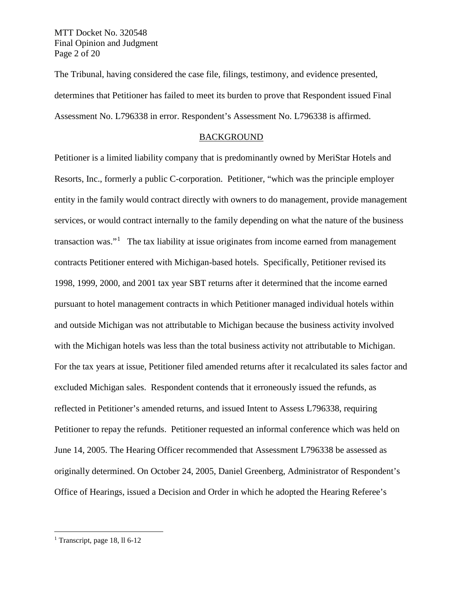MTT Docket No. 320548 Final Opinion and Judgment Page 2 of 20

The Tribunal, having considered the case file, filings, testimony, and evidence presented, determines that Petitioner has failed to meet its burden to prove that Respondent issued Final Assessment No. L796338 in error. Respondent's Assessment No. L796338 is affirmed.

#### BACKGROUND

Petitioner is a limited liability company that is predominantly owned by MeriStar Hotels and Resorts, Inc., formerly a public C-corporation. Petitioner, "which was the principle employer entity in the family would contract directly with owners to do management, provide management services, or would contract internally to the family depending on what the nature of the business transaction was."<sup>[1](#page-1-0)</sup> The tax liability at issue originates from income earned from management contracts Petitioner entered with Michigan-based hotels. Specifically, Petitioner revised its 1998, 1999, 2000, and 2001 tax year SBT returns after it determined that the income earned pursuant to hotel management contracts in which Petitioner managed individual hotels within and outside Michigan was not attributable to Michigan because the business activity involved with the Michigan hotels was less than the total business activity not attributable to Michigan. For the tax years at issue, Petitioner filed amended returns after it recalculated its sales factor and excluded Michigan sales. Respondent contends that it erroneously issued the refunds, as reflected in Petitioner's amended returns, and issued Intent to Assess L796338, requiring Petitioner to repay the refunds. Petitioner requested an informal conference which was held on June 14, 2005. The Hearing Officer recommended that Assessment L796338 be assessed as originally determined. On October 24, 2005, Daniel Greenberg, Administrator of Respondent's Office of Hearings, issued a Decision and Order in which he adopted the Hearing Referee's

<span id="page-1-0"></span><sup>&</sup>lt;sup>1</sup> Transcript, page 18, ll  $6-12$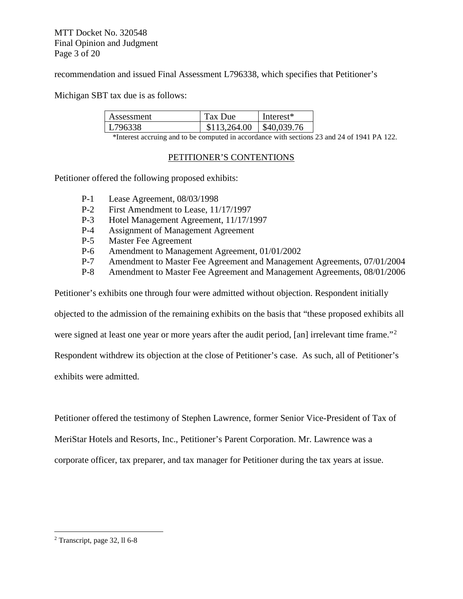MTT Docket No. 320548 Final Opinion and Judgment Page 3 of 20

recommendation and issued Final Assessment L796338, which specifies that Petitioner's

Michigan SBT tax due is as follows:

| Assessment | Tax Due      | Interest <sup>*</sup> |
|------------|--------------|-----------------------|
| 796338     | \$113,264.00 | \$40,039.76           |

\*Interest accruing and to be computed in accordance with sections 23 and 24 of 1941 PA 122.

### PETITIONER'S CONTENTIONS

Petitioner offered the following proposed exhibits:

- P-1 Lease Agreement, 08/03/1998
- P-2 First Amendment to Lease, 11/17/1997
- P-3 Hotel Management Agreement, 11/17/1997
- P-4 Assignment of Management Agreement
- P-5 Master Fee Agreement
- P-6 Amendment to Management Agreement, 01/01/2002
- P-7 Amendment to Master Fee Agreement and Management Agreements, 07/01/2004
- P-8 Amendment to Master Fee Agreement and Management Agreements, 08/01/2006

Petitioner's exhibits one through four were admitted without objection. Respondent initially

objected to the admission of the remaining exhibits on the basis that "these proposed exhibits all

were signed at least one year or more years after the audit period, [an] irrelevant time frame."<sup>[2](#page-2-0)</sup>

Respondent withdrew its objection at the close of Petitioner's case. As such, all of Petitioner's

exhibits were admitted.

Petitioner offered the testimony of Stephen Lawrence, former Senior Vice-President of Tax of

MeriStar Hotels and Resorts, Inc., Petitioner's Parent Corporation. Mr. Lawrence was a

corporate officer, tax preparer, and tax manager for Petitioner during the tax years at issue.

<span id="page-2-0"></span> $2$  Transcript, page 32, ll 6-8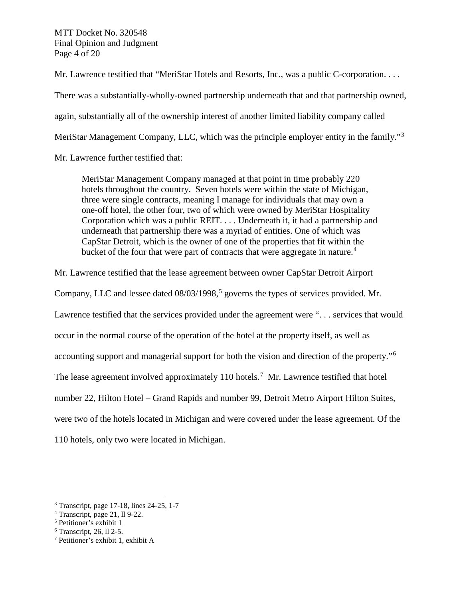MTT Docket No. 320548 Final Opinion and Judgment Page 4 of 20

Mr. Lawrence testified that "MeriStar Hotels and Resorts, Inc., was a public C-corporation. . . . There was a substantially-wholly-owned partnership underneath that and that partnership owned, again, substantially all of the ownership interest of another limited liability company called MeriStar Management Company, LLC, which was the principle employer entity in the family."<sup>[3](#page-3-0)</sup>

Mr. Lawrence further testified that:

MeriStar Management Company managed at that point in time probably 220 hotels throughout the country. Seven hotels were within the state of Michigan, three were single contracts, meaning I manage for individuals that may own a one-off hotel, the other four, two of which were owned by MeriStar Hospitality Corporation which was a public REIT. . . . Underneath it, it had a partnership and underneath that partnership there was a myriad of entities. One of which was CapStar Detroit, which is the owner of one of the properties that fit within the bucket of the four that were part of contracts that were aggregate in nature.<sup>[4](#page-3-1)</sup>

Mr. Lawrence testified that the lease agreement between owner CapStar Detroit Airport

Company, LLC and lessee dated  $08/03/1998$ , governs the types of services provided. Mr.

Lawrence testified that the services provided under the agreement were ". . . services that would

occur in the normal course of the operation of the hotel at the property itself, as well as

accounting support and managerial support for both the vision and direction of the property."[6](#page-3-3)

The lease agreement involved approximately 110 hotels.<sup>[7](#page-3-4)</sup> Mr. Lawrence testified that hotel

number 22, Hilton Hotel – Grand Rapids and number 99, Detroit Metro Airport Hilton Suites,

were two of the hotels located in Michigan and were covered under the lease agreement. Of the

110 hotels, only two were located in Michigan.

<span id="page-3-0"></span> $3$  Transcript, page 17-18, lines 24-25, 1-7

<span id="page-3-1"></span> $4$  Transcript, page 21, ll 9-22.

<span id="page-3-2"></span><sup>5</sup> Petitioner's exhibit 1

<span id="page-3-4"></span><span id="page-3-3"></span><sup>&</sup>lt;sup>6</sup> Transcript, 26, ll 2-5.<br><sup>7</sup> Petitioner's exhibit 1, exhibit A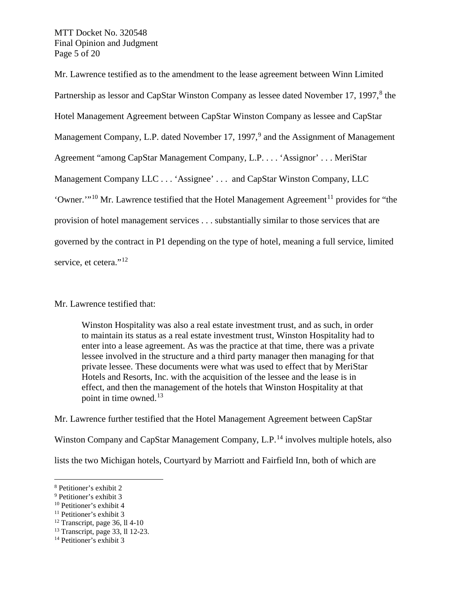MTT Docket No. 320548 Final Opinion and Judgment Page 5 of 20

Mr. Lawrence testified as to the amendment to the lease agreement between Winn Limited Partnership as lessor and CapStar Winston Company as lessee dated November 17, 1997, $8$  the Hotel Management Agreement between CapStar Winston Company as lessee and CapStar Management Company, L.P. dated November 17, 1[9](#page-4-1)97,<sup>9</sup> and the Assignment of Management Agreement "among CapStar Management Company, L.P. . . . 'Assignor' . . . MeriStar Management Company LLC . . . 'Assignee' . . . and CapStar Winston Company, LLC 'Owner. $\cdot$ <sup>[10](#page-4-2)</sup> Mr. Lawrence testified that the Hotel Management Agreement<sup>[11](#page-4-3)</sup> provides for "the provision of hotel management services . . . substantially similar to those services that are governed by the contract in P1 depending on the type of hotel, meaning a full service, limited service, et cetera."<sup>[12](#page-4-4)</sup>

Mr. Lawrence testified that:

Winston Hospitality was also a real estate investment trust, and as such, in order to maintain its status as a real estate investment trust, Winston Hospitality had to enter into a lease agreement. As was the practice at that time, there was a private lessee involved in the structure and a third party manager then managing for that private lessee. These documents were what was used to effect that by MeriStar Hotels and Resorts, Inc. with the acquisition of the lessee and the lease is in effect, and then the management of the hotels that Winston Hospitality at that point in time owned. $13$ 

Mr. Lawrence further testified that the Hotel Management Agreement between CapStar Winston Company and CapStar Management Company, L.P.<sup>[14](#page-4-6)</sup> involves multiple hotels, also

lists the two Michigan hotels, Courtyard by Marriott and Fairfield Inn, both of which are

<span id="page-4-0"></span> <sup>8</sup> Petitioner's exhibit 2

<span id="page-4-1"></span><sup>9</sup> Petitioner's exhibit 3

<span id="page-4-2"></span> $10$  Petitioner's exhibit 4

<span id="page-4-3"></span><sup>&</sup>lt;sup>11</sup> Petitioner's exhibit 3

<span id="page-4-4"></span> $12$  Transcript, page 36, 114-10

<span id="page-4-5"></span><sup>13</sup> Transcript, page 33, ll 12-23.

<span id="page-4-6"></span><sup>14</sup> Petitioner's exhibit 3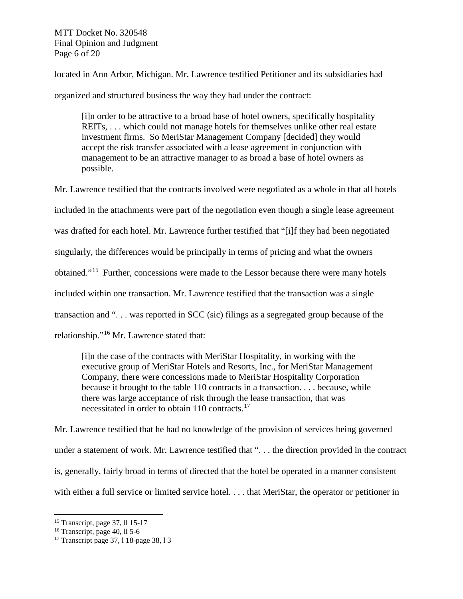MTT Docket No. 320548 Final Opinion and Judgment Page 6 of 20

located in Ann Arbor, Michigan. Mr. Lawrence testified Petitioner and its subsidiaries had

organized and structured business the way they had under the contract:

[i]n order to be attractive to a broad base of hotel owners, specifically hospitality REITs, . . . which could not manage hotels for themselves unlike other real estate investment firms. So MeriStar Management Company [decided] they would accept the risk transfer associated with a lease agreement in conjunction with management to be an attractive manager to as broad a base of hotel owners as possible.

Mr. Lawrence testified that the contracts involved were negotiated as a whole in that all hotels included in the attachments were part of the negotiation even though a single lease agreement was drafted for each hotel. Mr. Lawrence further testified that "[i]f they had been negotiated singularly, the differences would be principally in terms of pricing and what the owners obtained."[15](#page-5-0) Further, concessions were made to the Lessor because there were many hotels included within one transaction. Mr. Lawrence testified that the transaction was a single transaction and ". . . was reported in SCC (sic) filings as a segregated group because of the relationship."[16](#page-5-1) Mr. Lawrence stated that:

[i]n the case of the contracts with MeriStar Hospitality, in working with the executive group of MeriStar Hotels and Resorts, Inc., for MeriStar Management Company, there were concessions made to MeriStar Hospitality Corporation because it brought to the table 110 contracts in a transaction. . . . because, while there was large acceptance of risk through the lease transaction, that was necessitated in order to obtain 110 contracts.<sup>[17](#page-5-2)</sup>

Mr. Lawrence testified that he had no knowledge of the provision of services being governed under a statement of work. Mr. Lawrence testified that "... the direction provided in the contract is, generally, fairly broad in terms of directed that the hotel be operated in a manner consistent with either a full service or limited service hotel. . . . that MeriStar, the operator or petitioner in

<span id="page-5-0"></span> <sup>15</sup> Transcript, page 37, ll 15-17

<span id="page-5-1"></span> $16$  Transcript, page 40, ll 5-6

<span id="page-5-2"></span><sup>&</sup>lt;sup>17</sup> Transcript page 37, 1 18-page 38, 1 3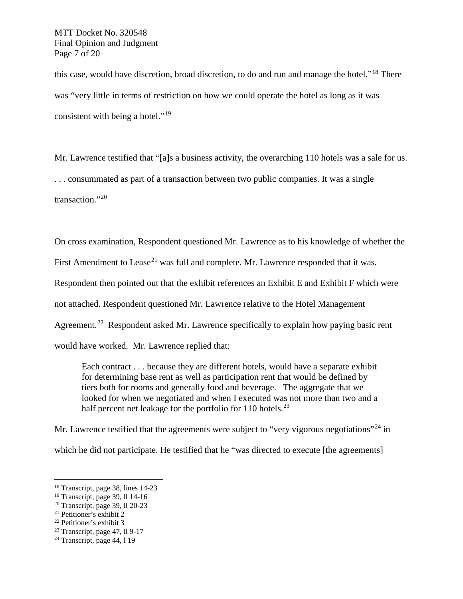MTT Docket No. 320548 Final Opinion and Judgment Page 7 of 20

this case, would have discretion, broad discretion, to do and run and manage the hotel."[18](#page-6-0) There was "very little in terms of restriction on how we could operate the hotel as long as it was consistent with being a hotel."[19](#page-6-1)

Mr. Lawrence testified that "[a]s a business activity, the overarching 110 hotels was a sale for us. . . . consummated as part of a transaction between two public companies. It was a single transaction."<sup>[20](#page-6-2)</sup>

On cross examination, Respondent questioned Mr. Lawrence as to his knowledge of whether the

First Amendment to Lease<sup>[21](#page-6-3)</sup> was full and complete. Mr. Lawrence responded that it was.

Respondent then pointed out that the exhibit references an Exhibit E and Exhibit F which were

not attached. Respondent questioned Mr. Lawrence relative to the Hotel Management

Agreement.<sup>[22](#page-6-4)</sup> Respondent asked Mr. Lawrence specifically to explain how paying basic rent

would have worked. Mr. Lawrence replied that:

Each contract . . . because they are different hotels, would have a separate exhibit for determining base rent as well as participation rent that would be defined by tiers both for rooms and generally food and beverage. The aggregate that we looked for when we negotiated and when I executed was not more than two and a half percent net leakage for the portfolio for 110 hotels.<sup>[23](#page-6-5)</sup>

Mr. Lawrence testified that the agreements were subject to "very vigorous negotiations"<sup>[24](#page-6-6)</sup> in

which he did not participate. He testified that he "was directed to execute [the agreements]

<span id="page-6-0"></span> <sup>18</sup> Transcript, page 38, lines 14-23

<span id="page-6-1"></span><sup>19</sup> Transcript, page 39, ll 14-16

<span id="page-6-2"></span> $20$  Transcript, page 39, ll 20-23

<span id="page-6-3"></span><sup>21</sup> Petitioner's exhibit 2

<span id="page-6-4"></span><sup>22</sup> Petitioner's exhibit 3

<span id="page-6-5"></span><sup>23</sup> Transcript, page 47, ll 9-17

<span id="page-6-6"></span> $24$  Transcript, page 44, 119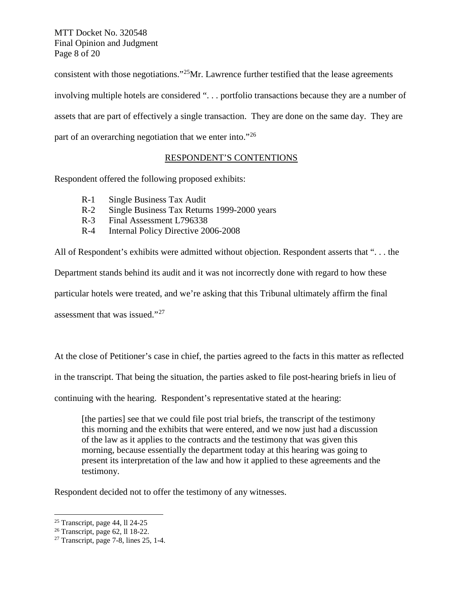MTT Docket No. 320548 Final Opinion and Judgment Page 8 of 20

consistent with those negotiations."[25](#page-7-0)Mr. Lawrence further testified that the lease agreements involving multiple hotels are considered ". . . portfolio transactions because they are a number of assets that are part of effectively a single transaction. They are done on the same day. They are part of an overarching negotiation that we enter into."[26](#page-7-1) 

### RESPONDENT'S CONTENTIONS

Respondent offered the following proposed exhibits:

- R-1 Single Business Tax Audit
- R-2 Single Business Tax Returns 1999-2000 years
- R-3 Final Assessment L796338
- R-4 Internal Policy Directive 2006-2008

All of Respondent's exhibits were admitted without objection. Respondent asserts that ". . . the Department stands behind its audit and it was not incorrectly done with regard to how these particular hotels were treated, and we're asking that this Tribunal ultimately affirm the final assessment that was issued."[27](#page-7-2)

At the close of Petitioner's case in chief, the parties agreed to the facts in this matter as reflected

in the transcript. That being the situation, the parties asked to file post-hearing briefs in lieu of

continuing with the hearing. Respondent's representative stated at the hearing:

[the parties] see that we could file post trial briefs, the transcript of the testimony this morning and the exhibits that were entered, and we now just had a discussion of the law as it applies to the contracts and the testimony that was given this morning, because essentially the department today at this hearing was going to present its interpretation of the law and how it applied to these agreements and the testimony.

Respondent decided not to offer the testimony of any witnesses.

<span id="page-7-0"></span> $25$  Transcript, page 44, ll 24-25

<span id="page-7-1"></span><sup>26</sup> Transcript, page 62, ll 18-22.

<span id="page-7-2"></span> $27$  Transcript, page 7-8, lines 25, 1-4.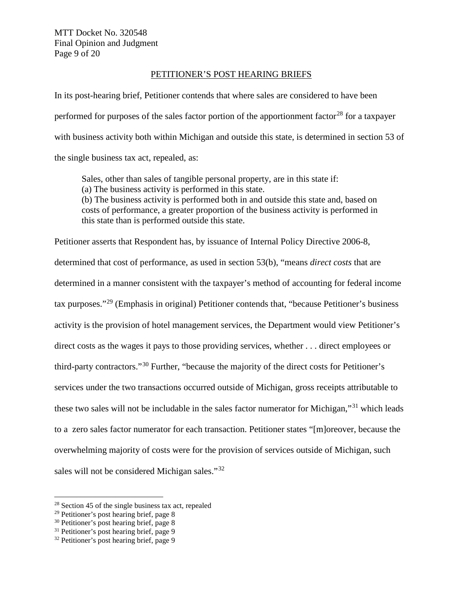#### PETITIONER'S POST HEARING BRIEFS

In its post-hearing brief, Petitioner contends that where sales are considered to have been performed for purposes of the sales factor portion of the apportionment factor<sup>[28](#page-8-0)</sup> for a taxpayer with business activity both within Michigan and outside this state, is determined in section 53 of the single business tax act, repealed, as:

Sales, other than sales of tangible personal property, are in this state if: (a) The business activity is performed in this state. (b) The business activity is performed both in and outside this state and, based on costs of performance, a greater proportion of the business activity is performed in this state than is performed outside this state.

Petitioner asserts that Respondent has, by issuance of Internal Policy Directive 2006-8, determined that cost of performance, as used in section 53(b), "means *direct costs* that are determined in a manner consistent with the taxpayer's method of accounting for federal income tax purposes."[29](#page-8-1) (Emphasis in original) Petitioner contends that, "because Petitioner's business activity is the provision of hotel management services, the Department would view Petitioner's direct costs as the wages it pays to those providing services, whether . . . direct employees or third-party contractors."[30](#page-8-2) Further, "because the majority of the direct costs for Petitioner's services under the two transactions occurred outside of Michigan, gross receipts attributable to these two sales will not be includable in the sales factor numerator for Michigan,"<sup>[31](#page-8-3)</sup> which leads to a zero sales factor numerator for each transaction. Petitioner states "[m]oreover, because the overwhelming majority of costs were for the provision of services outside of Michigan, such sales will not be considered Michigan sales."<sup>[32](#page-8-4)</sup>

<span id="page-8-0"></span> <sup>28</sup> Section 45 of the single business tax act, repealed

<span id="page-8-1"></span> $29$  Petitioner's post hearing brief, page 8

<span id="page-8-2"></span><sup>30</sup> Petitioner's post hearing brief, page 8

<span id="page-8-3"></span><sup>31</sup> Petitioner's post hearing brief, page 9

<span id="page-8-4"></span><sup>32</sup> Petitioner's post hearing brief, page 9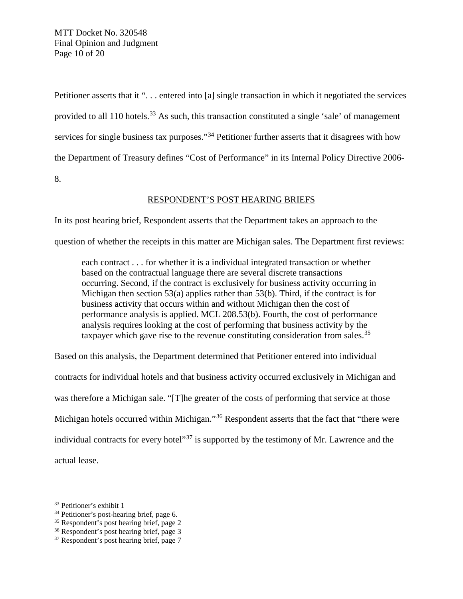MTT Docket No. 320548 Final Opinion and Judgment Page 10 of 20

Petitioner asserts that it "... entered into [a] single transaction in which it negotiated the services provided to all 110 hotels.<sup>[33](#page-9-0)</sup> As such, this transaction constituted a single 'sale' of management services for single business tax purposes."<sup>[34](#page-9-1)</sup> Petitioner further asserts that it disagrees with how the Department of Treasury defines "Cost of Performance" in its Internal Policy Directive 2006- 8.

### RESPONDENT'S POST HEARING BRIEFS

In its post hearing brief, Respondent asserts that the Department takes an approach to the

question of whether the receipts in this matter are Michigan sales. The Department first reviews:

each contract . . . for whether it is a individual integrated transaction or whether based on the contractual language there are several discrete transactions occurring. Second, if the contract is exclusively for business activity occurring in Michigan then section  $53(a)$  applies rather than  $53(b)$ . Third, if the contract is for business activity that occurs within and without Michigan then the cost of performance analysis is applied. MCL 208.53(b). Fourth, the cost of performance analysis requires looking at the cost of performing that business activity by the taxpayer which gave rise to the revenue constituting consideration from sales.<sup>[35](#page-9-2)</sup>

Based on this analysis, the Department determined that Petitioner entered into individual contracts for individual hotels and that business activity occurred exclusively in Michigan and was therefore a Michigan sale. "[T]he greater of the costs of performing that service at those Michigan hotels occurred within Michigan."<sup>[36](#page-9-3)</sup> Respondent asserts that the fact that "there were individual contracts for every hotel"[37](#page-9-4) is supported by the testimony of Mr. Lawrence and the actual lease.

<span id="page-9-0"></span> <sup>33</sup> Petitioner's exhibit 1

<span id="page-9-1"></span><sup>34</sup> Petitioner's post-hearing brief, page 6.

<span id="page-9-2"></span><sup>&</sup>lt;sup>35</sup> Respondent's post hearing brief, page 2

<span id="page-9-3"></span><sup>36</sup> Respondent's post hearing brief, page 3

<span id="page-9-4"></span><sup>&</sup>lt;sup>37</sup> Respondent's post hearing brief, page 7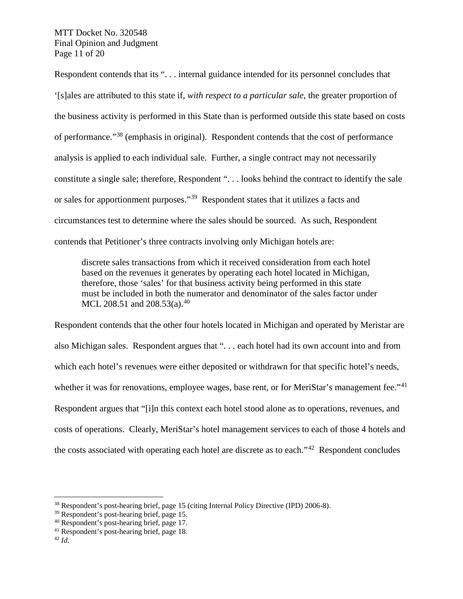MTT Docket No. 320548 Final Opinion and Judgment Page 11 of 20

Respondent contends that its ". . . internal guidance intended for its personnel concludes that '[s]ales are attributed to this state if, *with respect to a particular sale*, the greater proportion of the business activity is performed in this State than is performed outside this state based on costs of performance."[38](#page-10-0) (emphasis in original). Respondent contends that the cost of performance analysis is applied to each individual sale. Further, a single contract may not necessarily constitute a single sale; therefore, Respondent ". . . looks behind the contract to identify the sale or sales for apportionment purposes."[39](#page-10-1) Respondent states that it utilizes a facts and circumstances test to determine where the sales should be sourced. As such, Respondent contends that Petitioner's three contracts involving only Michigan hotels are:

discrete sales transactions from which it received consideration from each hotel based on the revenues it generates by operating each hotel located in Michigan, therefore, those 'sales' for that business activity being performed in this state must be included in both the numerator and denominator of the sales factor under MCL 208.51 and 208.53(a).<sup>[40](#page-10-2)</sup>

Respondent contends that the other four hotels located in Michigan and operated by Meristar are also Michigan sales. Respondent argues that ". . . each hotel had its own account into and from which each hotel's revenues were either deposited or withdrawn for that specific hotel's needs, whether it was for renovations, employee wages, base rent, or for MeriStar's management fee."<sup>41</sup> Respondent argues that "[i]n this context each hotel stood alone as to operations, revenues, and costs of operations. Clearly, MeriStar's hotel management services to each of those 4 hotels and the costs associated with operating each hotel are discrete as to each." $42$  Respondent concludes

<span id="page-10-0"></span> <sup>38</sup> Respondent's post-hearing brief, page 15 (citing Internal Policy Directive (IPD) 2006-8).

<span id="page-10-1"></span><sup>39</sup> Respondent's post-hearing brief, page 15.

<span id="page-10-2"></span><sup>40</sup> Respondent's post-hearing brief, page 17.

<span id="page-10-4"></span><span id="page-10-3"></span><sup>41</sup> Respondent's post-hearing brief, page 18. 42 *Id.*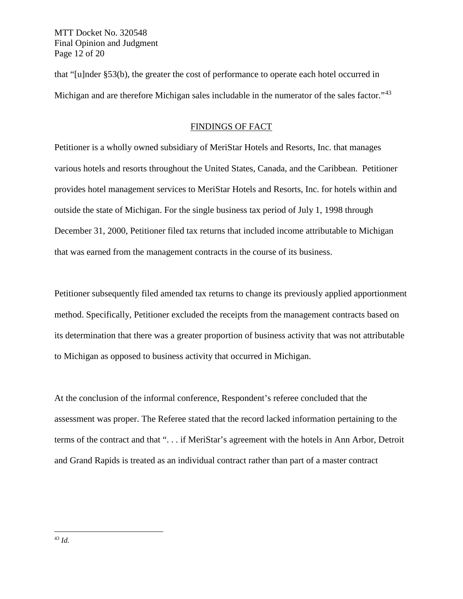MTT Docket No. 320548 Final Opinion and Judgment Page 12 of 20

that "[u]nder §53(b), the greater the cost of performance to operate each hotel occurred in Michigan and are therefore Michigan sales includable in the numerator of the sales factor."<sup>[43](#page-11-0)</sup>

#### FINDINGS OF FACT

Petitioner is a wholly owned subsidiary of MeriStar Hotels and Resorts, Inc. that manages various hotels and resorts throughout the United States, Canada, and the Caribbean. Petitioner provides hotel management services to MeriStar Hotels and Resorts, Inc. for hotels within and outside the state of Michigan. For the single business tax period of July 1, 1998 through December 31, 2000, Petitioner filed tax returns that included income attributable to Michigan that was earned from the management contracts in the course of its business.

Petitioner subsequently filed amended tax returns to change its previously applied apportionment method. Specifically, Petitioner excluded the receipts from the management contracts based on its determination that there was a greater proportion of business activity that was not attributable to Michigan as opposed to business activity that occurred in Michigan.

<span id="page-11-0"></span>At the conclusion of the informal conference, Respondent's referee concluded that the assessment was proper. The Referee stated that the record lacked information pertaining to the terms of the contract and that ". . . if MeriStar's agreement with the hotels in Ann Arbor, Detroit and Grand Rapids is treated as an individual contract rather than part of a master contract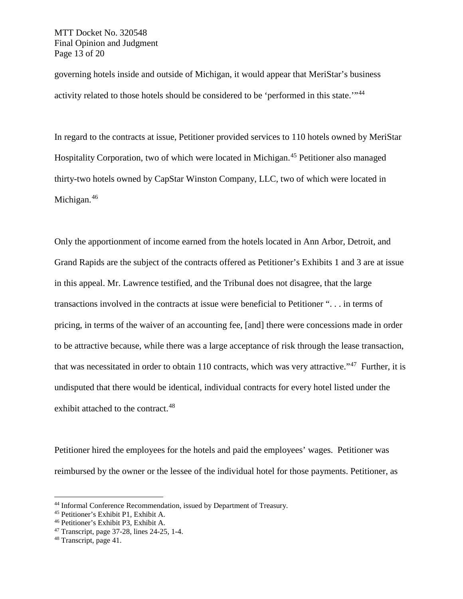governing hotels inside and outside of Michigan, it would appear that MeriStar's business activity related to those hotels should be considered to be 'performed in this state.'"[44](#page-12-0)

In regard to the contracts at issue, Petitioner provided services to 110 hotels owned by MeriStar Hospitality Corporation, two of which were located in Michigan.[45](#page-12-1) Petitioner also managed thirty-two hotels owned by CapStar Winston Company, LLC, two of which were located in Michigan.<sup>[46](#page-12-2)</sup>

Only the apportionment of income earned from the hotels located in Ann Arbor, Detroit, and Grand Rapids are the subject of the contracts offered as Petitioner's Exhibits 1 and 3 are at issue in this appeal. Mr. Lawrence testified, and the Tribunal does not disagree, that the large transactions involved in the contracts at issue were beneficial to Petitioner ". . . in terms of pricing, in terms of the waiver of an accounting fee, [and] there were concessions made in order to be attractive because, while there was a large acceptance of risk through the lease transaction, that was necessitated in order to obtain 110 contracts, which was very attractive."<sup>47</sup> Further, it is undisputed that there would be identical, individual contracts for every hotel listed under the exhibit attached to the contract.<sup>[48](#page-12-4)</sup>

Petitioner hired the employees for the hotels and paid the employees' wages. Petitioner was reimbursed by the owner or the lessee of the individual hotel for those payments. Petitioner, as

<span id="page-12-0"></span> <sup>44</sup> Informal Conference Recommendation, issued by Department of Treasury.

<span id="page-12-1"></span><sup>45</sup> Petitioner's Exhibit P1, Exhibit A.

<span id="page-12-2"></span><sup>46</sup> Petitioner's Exhibit P3, Exhibit A.

<span id="page-12-3"></span><sup>47</sup> Transcript, page 37-28, lines 24-25, 1-4.

<span id="page-12-4"></span><sup>48</sup> Transcript, page 41.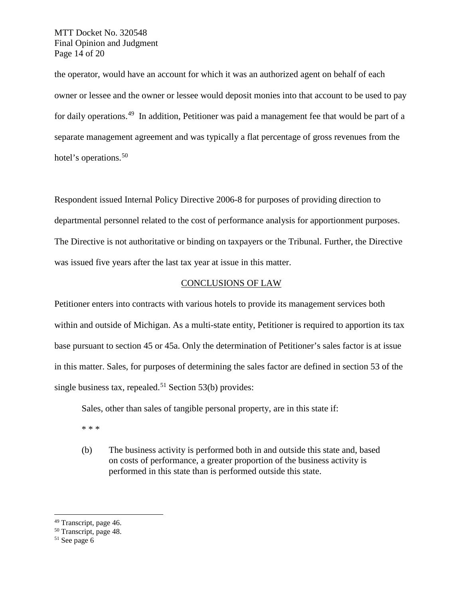MTT Docket No. 320548 Final Opinion and Judgment Page 14 of 20

the operator, would have an account for which it was an authorized agent on behalf of each owner or lessee and the owner or lessee would deposit monies into that account to be used to pay for daily operations.[49](#page-13-0) In addition, Petitioner was paid a management fee that would be part of a separate management agreement and was typically a flat percentage of gross revenues from the hotel's operations.<sup>[50](#page-13-1)</sup>

Respondent issued Internal Policy Directive 2006-8 for purposes of providing direction to departmental personnel related to the cost of performance analysis for apportionment purposes. The Directive is not authoritative or binding on taxpayers or the Tribunal. Further, the Directive was issued five years after the last tax year at issue in this matter.

#### CONCLUSIONS OF LAW

Petitioner enters into contracts with various hotels to provide its management services both within and outside of Michigan. As a multi-state entity, Petitioner is required to apportion its tax base pursuant to section 45 or 45a. Only the determination of Petitioner's sales factor is at issue in this matter. Sales, for purposes of determining the sales factor are defined in section 53 of the single business tax, repealed.<sup>[51](#page-13-2)</sup> Section 53(b) provides:

Sales, other than sales of tangible personal property, are in this state if:

\* \* \*

(b) The business activity is performed both in and outside this state and, based on costs of performance, a greater proportion of the business activity is performed in this state than is performed outside this state.

<span id="page-13-0"></span><sup>&</sup>lt;sup>49</sup> Transcript, page 46.

<span id="page-13-1"></span><sup>50</sup> Transcript, page 48.

<span id="page-13-2"></span> $51$  See page 6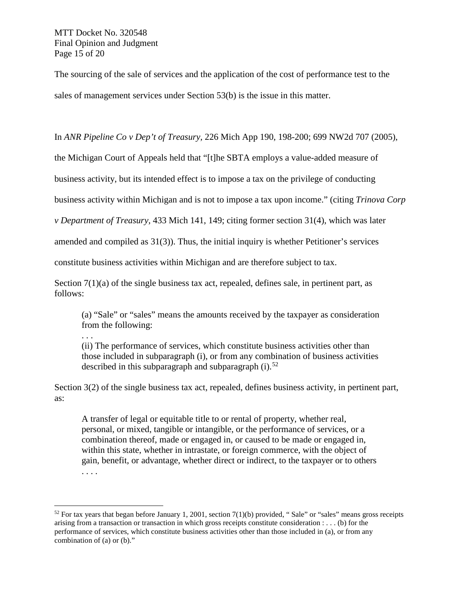The sourcing of the sale of services and the application of the cost of performance test to the sales of management services under Section 53(b) is the issue in this matter.

In *ANR Pipeline Co v Dep't of Treasury,* 226 Mich App 190, 198-200; 699 NW2d 707 (2005),

the Michigan Court of Appeals held that "[t]he SBTA employs a value-added measure of

business activity, but its intended effect is to impose a tax on the privilege of conducting

business activity within Michigan and is not to impose a tax upon income." (citing *Trinova Corp*

*v Department of Treasury,* 433 Mich 141, 149; citing former section 31(4), which was later

amended and compiled as 31(3)). Thus, the initial inquiry is whether Petitioner's services

constitute business activities within Michigan and are therefore subject to tax.

Section  $7(1)(a)$  of the single business tax act, repealed, defines sale, in pertinent part, as follows:

(a) "Sale" or "sales" means the amounts received by the taxpayer as consideration from the following:

. . .

(ii) The performance of services, which constitute business activities other than those included in subparagraph (i), or from any combination of business activities described in this subparagraph and subparagraph  $(i)$ .<sup>[52](#page-14-0)</sup>

Section 3(2) of the single business tax act, repealed, defines business activity, in pertinent part, as:

A transfer of legal or equitable title to or rental of property, whether real, personal, or mixed, tangible or intangible, or the performance of services, or a combination thereof, made or engaged in, or caused to be made or engaged in, within this state, whether in intrastate, or foreign commerce, with the object of gain, benefit, or advantage, whether direct or indirect, to the taxpayer or to others . . . .

<span id="page-14-0"></span> $52$  For tax years that began before January 1, 2001, section 7(1)(b) provided, "Sale" or "sales" means gross receipts arising from a transaction or transaction in which gross receipts constitute consideration : . . . (b) for the performance of services, which constitute business activities other than those included in (a), or from any combination of (a) or (b)."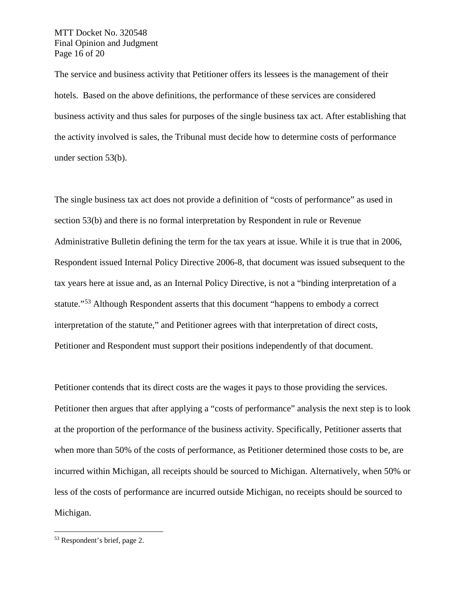MTT Docket No. 320548 Final Opinion and Judgment Page 16 of 20

The service and business activity that Petitioner offers its lessees is the management of their hotels. Based on the above definitions, the performance of these services are considered business activity and thus sales for purposes of the single business tax act. After establishing that the activity involved is sales, the Tribunal must decide how to determine costs of performance under section 53(b).

The single business tax act does not provide a definition of "costs of performance" as used in section 53(b) and there is no formal interpretation by Respondent in rule or Revenue Administrative Bulletin defining the term for the tax years at issue. While it is true that in 2006, Respondent issued Internal Policy Directive 2006-8, that document was issued subsequent to the tax years here at issue and, as an Internal Policy Directive, is not a "binding interpretation of a statute."<sup>[53](#page-15-0)</sup> Although Respondent asserts that this document "happens to embody a correct interpretation of the statute," and Petitioner agrees with that interpretation of direct costs, Petitioner and Respondent must support their positions independently of that document.

Petitioner contends that its direct costs are the wages it pays to those providing the services. Petitioner then argues that after applying a "costs of performance" analysis the next step is to look at the proportion of the performance of the business activity. Specifically, Petitioner asserts that when more than 50% of the costs of performance, as Petitioner determined those costs to be, are incurred within Michigan, all receipts should be sourced to Michigan. Alternatively, when 50% or less of the costs of performance are incurred outside Michigan, no receipts should be sourced to Michigan.

<span id="page-15-0"></span> <sup>53</sup> Respondent's brief, page 2.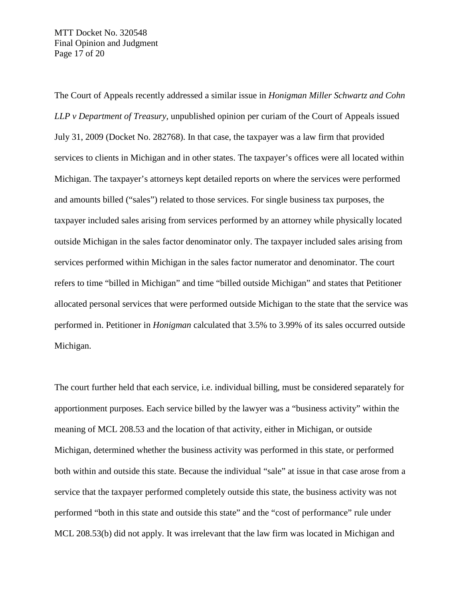The Court of Appeals recently addressed a similar issue in *Honigman Miller Schwartz and Cohn LLP v Department of Treasury,* unpublished opinion per curiam of the Court of Appeals issued July 31, 2009 (Docket No. 282768). In that case, the taxpayer was a law firm that provided services to clients in Michigan and in other states. The taxpayer's offices were all located within Michigan. The taxpayer's attorneys kept detailed reports on where the services were performed and amounts billed ("sales") related to those services. For single business tax purposes, the taxpayer included sales arising from services performed by an attorney while physically located outside Michigan in the sales factor denominator only. The taxpayer included sales arising from services performed within Michigan in the sales factor numerator and denominator. The court refers to time "billed in Michigan" and time "billed outside Michigan" and states that Petitioner allocated personal services that were performed outside Michigan to the state that the service was performed in. Petitioner in *Honigman* calculated that 3.5% to 3.99% of its sales occurred outside Michigan.

The court further held that each service, i.e. individual billing, must be considered separately for apportionment purposes. Each service billed by the lawyer was a "business activity" within the meaning of MCL 208.53 and the location of that activity, either in Michigan, or outside Michigan, determined whether the business activity was performed in this state, or performed both within and outside this state. Because the individual "sale" at issue in that case arose from a service that the taxpayer performed completely outside this state, the business activity was not performed "both in this state and outside this state" and the "cost of performance" rule under MCL 208.53(b) did not apply. It was irrelevant that the law firm was located in Michigan and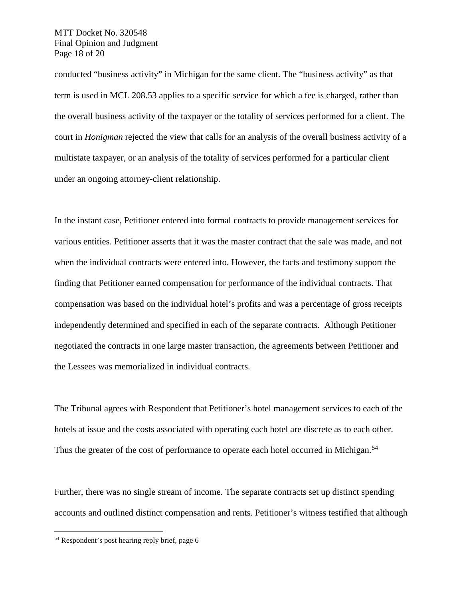MTT Docket No. 320548 Final Opinion and Judgment Page 18 of 20

conducted "business activity" in Michigan for the same client. The "business activity" as that term is used in MCL 208.53 applies to a specific service for which a fee is charged, rather than the overall business activity of the taxpayer or the totality of services performed for a client. The court in *Honigman* rejected the view that calls for an analysis of the overall business activity of a multistate taxpayer, or an analysis of the totality of services performed for a particular client under an ongoing attorney-client relationship.

In the instant case, Petitioner entered into formal contracts to provide management services for various entities. Petitioner asserts that it was the master contract that the sale was made, and not when the individual contracts were entered into. However, the facts and testimony support the finding that Petitioner earned compensation for performance of the individual contracts. That compensation was based on the individual hotel's profits and was a percentage of gross receipts independently determined and specified in each of the separate contracts. Although Petitioner negotiated the contracts in one large master transaction, the agreements between Petitioner and the Lessees was memorialized in individual contracts.

The Tribunal agrees with Respondent that Petitioner's hotel management services to each of the hotels at issue and the costs associated with operating each hotel are discrete as to each other. Thus the greater of the cost of performance to operate each hotel occurred in Michigan.<sup>[54](#page-17-0)</sup>

Further, there was no single stream of income. The separate contracts set up distinct spending accounts and outlined distinct compensation and rents. Petitioner's witness testified that although

<span id="page-17-0"></span> <sup>54</sup> Respondent's post hearing reply brief, page 6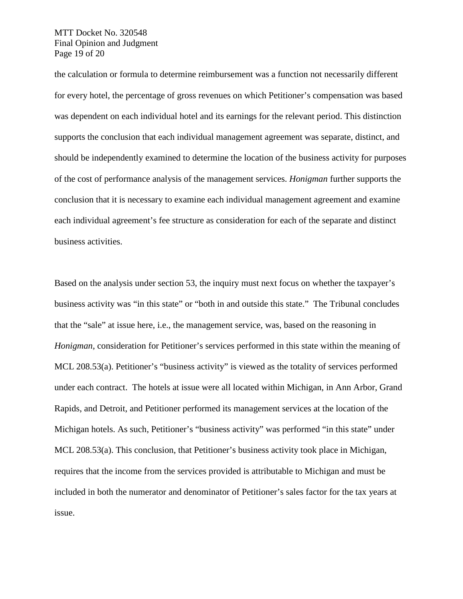MTT Docket No. 320548 Final Opinion and Judgment Page 19 of 20

the calculation or formula to determine reimbursement was a function not necessarily different for every hotel, the percentage of gross revenues on which Petitioner's compensation was based was dependent on each individual hotel and its earnings for the relevant period. This distinction supports the conclusion that each individual management agreement was separate, distinct, and should be independently examined to determine the location of the business activity for purposes of the cost of performance analysis of the management services. *Honigman* further supports the conclusion that it is necessary to examine each individual management agreement and examine each individual agreement's fee structure as consideration for each of the separate and distinct business activities.

Based on the analysis under section 53, the inquiry must next focus on whether the taxpayer's business activity was "in this state" or "both in and outside this state." The Tribunal concludes that the "sale" at issue here, i.e., the management service, was, based on the reasoning in *Honigman*, consideration for Petitioner's services performed in this state within the meaning of MCL 208.53(a). Petitioner's "business activity" is viewed as the totality of services performed under each contract. The hotels at issue were all located within Michigan, in Ann Arbor, Grand Rapids, and Detroit, and Petitioner performed its management services at the location of the Michigan hotels. As such, Petitioner's "business activity" was performed "in this state" under MCL 208.53(a). This conclusion, that Petitioner's business activity took place in Michigan, requires that the income from the services provided is attributable to Michigan and must be included in both the numerator and denominator of Petitioner's sales factor for the tax years at issue.